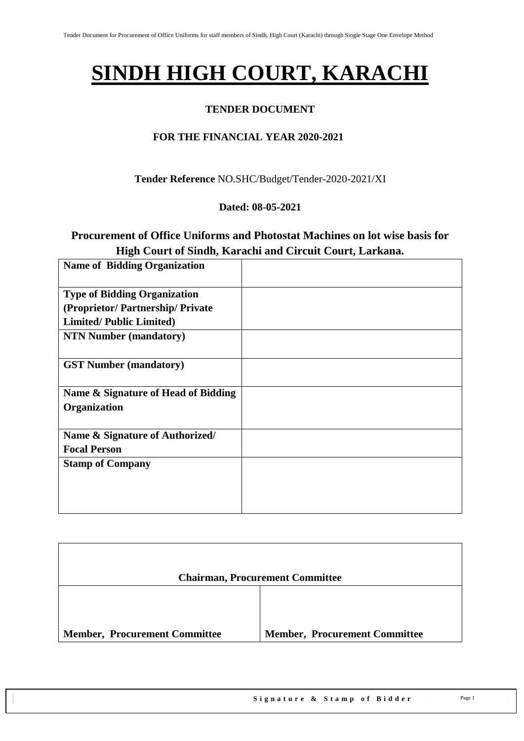# **SINDH HIGH COURT, KARACHI**

#### **TENDER DOCUMENT**

### **FOR THE FINANCIAL YEAR 2020-2021**

**Tender Reference** NO.SHC/Budget/Tender-2020-2021/XI

#### **Dated: 08-05-2021**

## **Procurement of Office Uniforms and Photostat Machines on lot wise basis for High Court of Sindh, Karachi and Circuit Court, Larkana.**

| <b>Name of Bidding Organization</b> |  |
|-------------------------------------|--|
| <b>Type of Bidding Organization</b> |  |
| (Proprietor/Partnership/Private     |  |
| <b>Limited/Public Limited)</b>      |  |
| <b>NTN Number (mandatory)</b>       |  |
| <b>GST Number (mandatory)</b>       |  |
| Name & Signature of Head of Bidding |  |
| Organization                        |  |
|                                     |  |
| Name & Signature of Authorized/     |  |
| <b>Focal Person</b>                 |  |
| <b>Stamp of Company</b>             |  |
|                                     |  |
|                                     |  |
|                                     |  |

|                                      | <b>Chairman, Procurement Committee</b> |
|--------------------------------------|----------------------------------------|
|                                      |                                        |
| <b>Member, Procurement Committee</b> | <b>Member, Procurement Committee</b>   |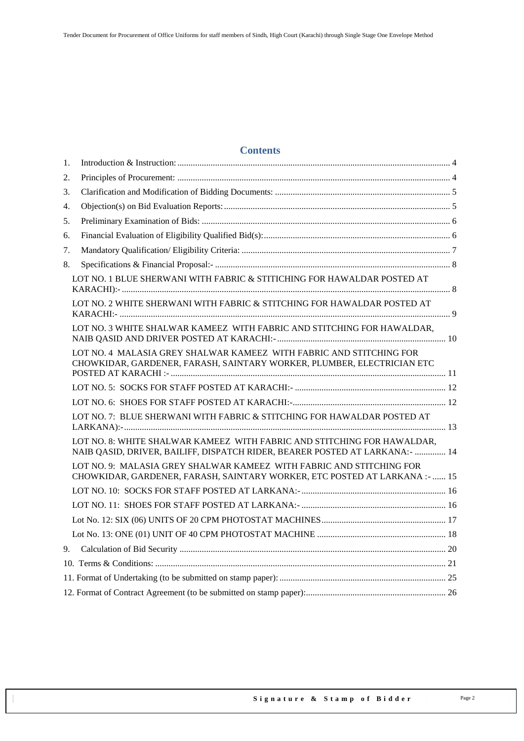#### **Contents**

| 1. |                                                                                                                                                         |  |
|----|---------------------------------------------------------------------------------------------------------------------------------------------------------|--|
| 2. |                                                                                                                                                         |  |
| 3. |                                                                                                                                                         |  |
| 4. |                                                                                                                                                         |  |
| 5. |                                                                                                                                                         |  |
| 6. |                                                                                                                                                         |  |
| 7. |                                                                                                                                                         |  |
| 8. |                                                                                                                                                         |  |
|    | LOT NO. 1 BLUE SHERWANI WITH FABRIC & STITICHING FOR HAWALDAR POSTED AT                                                                                 |  |
|    | LOT NO. 2 WHITE SHERWANI WITH FABRIC & STITCHING FOR HAWALDAR POSTED AT                                                                                 |  |
|    | LOT NO. 3 WHITE SHALWAR KAMEEZ WITH FABRIC AND STITCHING FOR HAWALDAR,                                                                                  |  |
|    | LOT NO. 4 MALASIA GREY SHALWAR KAMEEZ WITH FABRIC AND STITCHING FOR<br>CHOWKIDAR, GARDENER, FARASH, SAINTARY WORKER, PLUMBER, ELECTRICIAN ETC           |  |
|    |                                                                                                                                                         |  |
|    |                                                                                                                                                         |  |
|    | LOT NO. 7: BLUE SHERWANI WITH FABRIC & STITCHING FOR HAWALDAR POSTED AT                                                                                 |  |
|    | LOT NO. 8: WHITE SHALWAR KAMEEZ WITH FABRIC AND STITCHING FOR HAWALDAR,<br>NAIB QASID, DRIVER, BAILIFF, DISPATCH RIDER, BEARER POSTED AT LARKANA: -  14 |  |
|    | LOT NO. 9: MALASIA GREY SHALWAR KAMEEZ WITH FABRIC AND STITCHING FOR<br>CHOWKIDAR, GARDENER, FARASH, SAINTARY WORKER, ETC POSTED AT LARKANA :-  15      |  |
|    |                                                                                                                                                         |  |
|    |                                                                                                                                                         |  |
|    |                                                                                                                                                         |  |
|    |                                                                                                                                                         |  |
| 9. |                                                                                                                                                         |  |
|    |                                                                                                                                                         |  |
|    |                                                                                                                                                         |  |
|    |                                                                                                                                                         |  |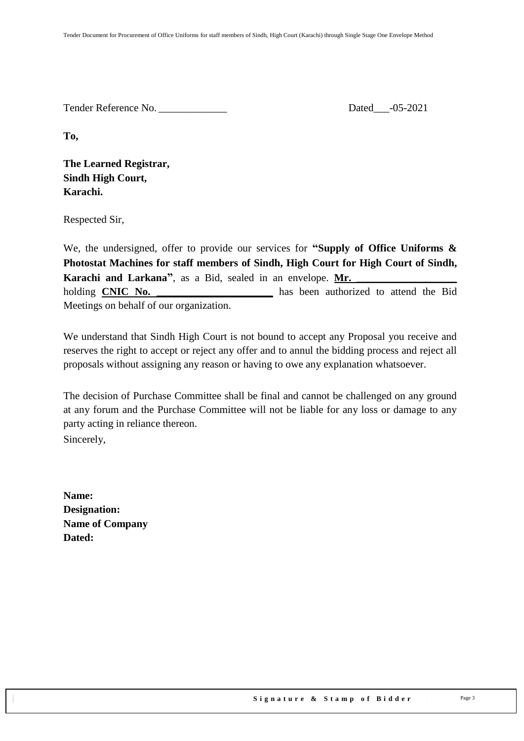Tender Reference No. \_\_\_\_\_\_\_\_\_\_\_\_\_ Dated\_\_\_-05-2021

**To,** 

**The Learned Registrar, Sindh High Court, Karachi.**

Respected Sir,

We, the undersigned, offer to provide our services for **"Supply of Office Uniforms & Photostat Machines for staff members of Sindh, High Court for High Court of Sindh, Karachi** and Larkana<sup>"</sup>, as a Bid, sealed in an envelope. Mr. holding **CNIC No.** \_\_\_\_\_\_\_\_\_\_\_\_\_\_\_\_\_\_\_\_\_\_\_ has been authorized to attend the Bid Meetings on behalf of our organization.

We understand that Sindh High Court is not bound to accept any Proposal you receive and reserves the right to accept or reject any offer and to annul the bidding process and reject all proposals without assigning any reason or having to owe any explanation whatsoever.

The decision of Purchase Committee shall be final and cannot be challenged on any ground at any forum and the Purchase Committee will not be liable for any loss or damage to any party acting in reliance thereon.

Sincerely,

**Name: Designation: Name of Company Dated:**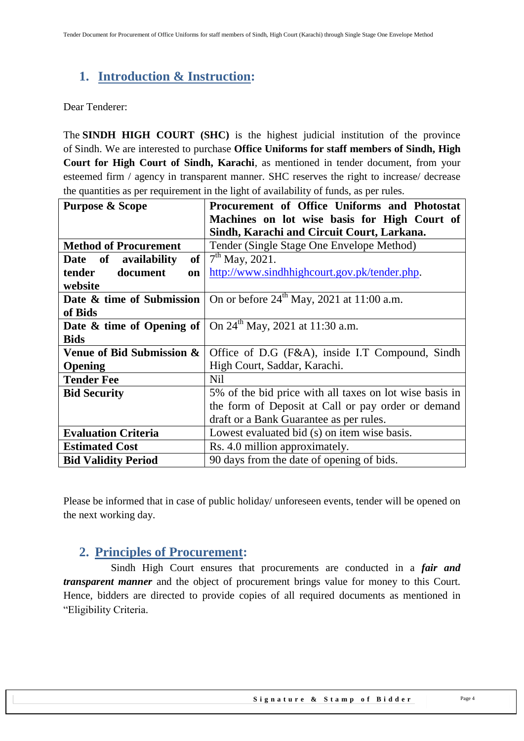# <span id="page-3-0"></span>**1. Introduction & Instruction:**

Dear Tenderer:

The **SINDH HIGH COURT (SHC)** is the highest judicial institution of the province of [Sindh.](https://en.wikipedia.org/wiki/Sindh) We are interested to purchase **Office Uniforms for staff members of Sindh, High Court for High Court of Sindh, Karachi**, as mentioned in tender document, from your esteemed firm / agency in transparent manner. SHC reserves the right to increase/ decrease the quantities as per requirement in the light of availability of funds, as per rules.

| <b>Purpose &amp; Scope</b>              | Procurement of Office Uniforms and Photostat                                                       |
|-----------------------------------------|----------------------------------------------------------------------------------------------------|
|                                         | Machines on lot wise basis for High Court of                                                       |
|                                         | Sindh, Karachi and Circuit Court, Larkana.                                                         |
| <b>Method of Procurement</b>            | Tender (Single Stage One Envelope Method)                                                          |
| of <sub>1</sub><br>Date of availability | $7th$ May, 2021.                                                                                   |
| document<br>tender<br>on                | http://www.sindhhighcourt.gov.pk/tender.php.                                                       |
| website                                 |                                                                                                    |
|                                         | <b>Date &amp; time of Submission</b> $\vert$ On or before 24 <sup>th</sup> May, 2021 at 11:00 a.m. |
| of Bids                                 |                                                                                                    |
|                                         | <b>Date &amp; time of Opening of</b> $\vert$ On 24 <sup>th</sup> May, 2021 at 11:30 a.m.           |
| <b>Bids</b>                             |                                                                                                    |
| Venue of Bid Submission &               | Office of D.G (F&A), inside I.T Compound, Sindh                                                    |
| Opening                                 | High Court, Saddar, Karachi.                                                                       |
| <b>Tender Fee</b>                       | N <sub>il</sub>                                                                                    |
| <b>Bid Security</b>                     | 5% of the bid price with all taxes on lot wise basis in                                            |
|                                         | the form of Deposit at Call or pay order or demand                                                 |
|                                         | draft or a Bank Guarantee as per rules.                                                            |
| <b>Evaluation Criteria</b>              | Lowest evaluated bid (s) on item wise basis.                                                       |
| <b>Estimated Cost</b>                   | Rs. 4.0 million approximately.                                                                     |
| <b>Bid Validity Period</b>              | 90 days from the date of opening of bids.                                                          |

<span id="page-3-1"></span>Please be informed that in case of public holiday/ unforeseen events, tender will be opened on the next working day.

# **2. Principles of Procurement:**

 Sindh High Court ensures that procurements are conducted in a *fair and transparent manner* and the object of procurement brings value for money to this Court. Hence, bidders are directed to provide copies of all required documents as mentioned in "Eligibility Criteria.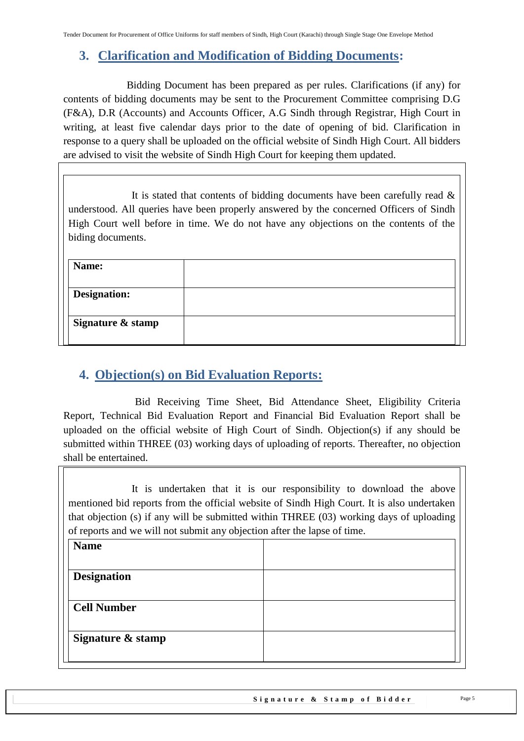# <span id="page-4-0"></span>**3. Clarification and Modification of Bidding Documents:**

Bidding Document has been prepared as per rules. Clarifications (if any) for contents of bidding documents may be sent to the Procurement Committee comprising D.G (F&A), D.R (Accounts) and Accounts Officer, A.G Sindh through Registrar, High Court in writing, at least five calendar days prior to the date of opening of bid. Clarification in response to a query shall be uploaded on the official website of Sindh High Court. All bidders are advised to visit the website of Sindh High Court for keeping them updated.

It is stated that contents of bidding documents have been carefully read  $\&$ understood. All queries have been properly answered by the concerned Officers of Sindh High Court well before in time. We do not have any objections on the contents of the biding documents.

| Name:               |  |
|---------------------|--|
| <b>Designation:</b> |  |
| Signature & stamp   |  |
|                     |  |

# <span id="page-4-1"></span>**4. Objection(s) on Bid Evaluation Reports:**

 Bid Receiving Time Sheet, Bid Attendance Sheet, Eligibility Criteria Report, Technical Bid Evaluation Report and Financial Bid Evaluation Report shall be uploaded on the official website of High Court of Sindh. Objection(s) if any should be submitted within THREE (03) working days of uploading of reports. Thereafter, no objection shall be entertained.

It is undertaken that it is our responsibility to download the above mentioned bid reports from the official website of Sindh High Court. It is also undertaken that objection (s) if any will be submitted within THREE (03) working days of uploading of reports and we will not submit any objection after the lapse of time.

| <b>Name</b>        |  |
|--------------------|--|
| <b>Designation</b> |  |
| <b>Cell Number</b> |  |
| Signature & stamp  |  |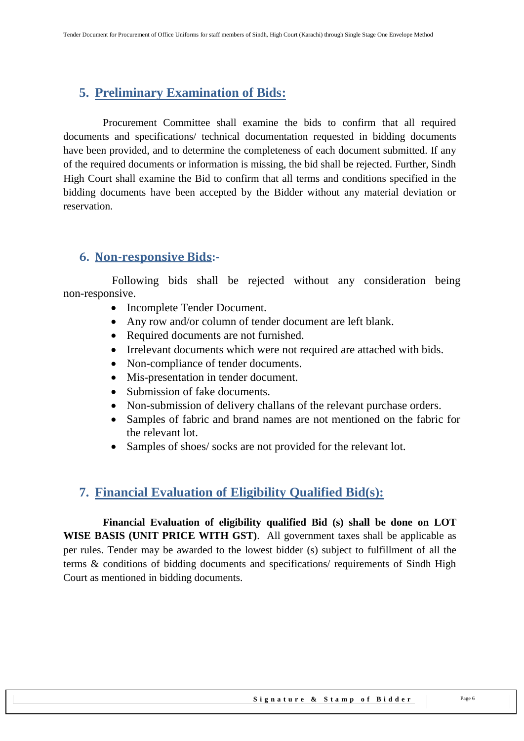# <span id="page-5-0"></span>**5. Preliminary Examination of Bids:**

 Procurement Committee shall examine the bids to confirm that all required documents and specifications/ technical documentation requested in bidding documents have been provided, and to determine the completeness of each document submitted. If any of the required documents or information is missing, the bid shall be rejected. Further, Sindh High Court shall examine the Bid to confirm that all terms and conditions specified in the bidding documents have been accepted by the Bidder without any material deviation or reservation.

## **6. Non-responsive Bids:-**

 Following bids shall be rejected without any consideration being non-responsive.

- Incomplete Tender Document.
- Any row and/or column of tender document are left blank.
- Required documents are not furnished.
- Irrelevant documents which were not required are attached with bids.
- Non-compliance of tender documents.
- Mis-presentation in tender document.
- Submission of fake documents.
- Non-submission of delivery challans of the relevant purchase orders.
- Samples of fabric and brand names are not mentioned on the fabric for the relevant lot.
- Samples of shoes/ socks are not provided for the relevant lot.

# <span id="page-5-1"></span>**7. Financial Evaluation of Eligibility Qualified Bid(s):**

 **Financial Evaluation of eligibility qualified Bid (s) shall be done on LOT WISE BASIS (UNIT PRICE WITH GST)**. All government taxes shall be applicable as per rules. Tender may be awarded to the lowest bidder (s) subject to fulfillment of all the terms & conditions of bidding documents and specifications/ requirements of Sindh High Court as mentioned in bidding documents.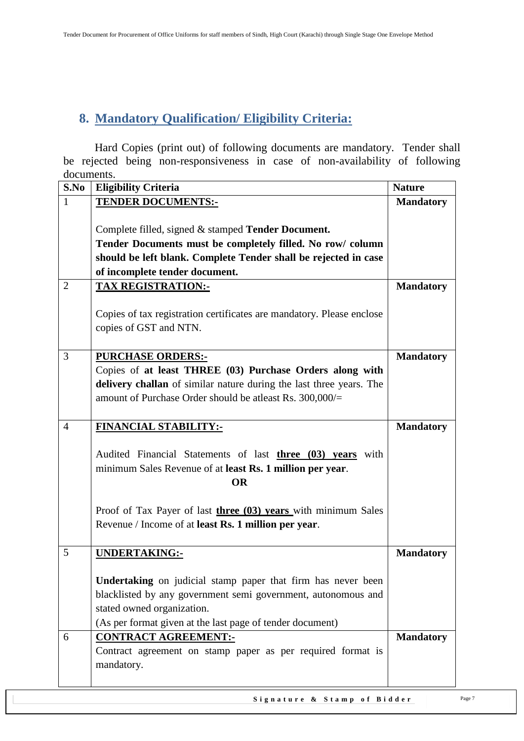# <span id="page-6-0"></span>**8. Mandatory Qualification/ Eligibility Criteria:**

 Hard Copies (print out) of following documents are mandatory. Tender shall be rejected being non-responsiveness in case of non-availability of following documents.

| S.No           | <b>Eligibility Criteria</b>                                                                                                          | <b>Nature</b>    |
|----------------|--------------------------------------------------------------------------------------------------------------------------------------|------------------|
| $\mathbf{1}$   | <b>TENDER DOCUMENTS:-</b>                                                                                                            | <b>Mandatory</b> |
|                |                                                                                                                                      |                  |
|                | Complete filled, signed & stamped Tender Document.                                                                                   |                  |
|                | Tender Documents must be completely filled. No row/column                                                                            |                  |
|                | should be left blank. Complete Tender shall be rejected in case                                                                      |                  |
|                | of incomplete tender document.                                                                                                       |                  |
| $\overline{2}$ | <b>TAX REGISTRATION:-</b>                                                                                                            | <b>Mandatory</b> |
|                | Copies of tax registration certificates are mandatory. Please enclose<br>copies of GST and NTN.                                      |                  |
| $\overline{3}$ | <b>PURCHASE ORDERS:-</b>                                                                                                             | <b>Mandatory</b> |
|                | Copies of at least THREE (03) Purchase Orders along with                                                                             |                  |
|                | delivery challan of similar nature during the last three years. The                                                                  |                  |
|                | amount of Purchase Order should be atleast Rs. 300,000/=                                                                             |                  |
|                |                                                                                                                                      |                  |
| $\overline{4}$ | <b>FINANCIAL STABILITY:-</b>                                                                                                         | <b>Mandatory</b> |
|                | Audited Financial Statements of last three (03) years with<br>minimum Sales Revenue of at least Rs. 1 million per year.<br><b>OR</b> |                  |
|                | Proof of Tax Payer of last three (03) years with minimum Sales                                                                       |                  |
|                | Revenue / Income of at least Rs. 1 million per year.                                                                                 |                  |
|                |                                                                                                                                      |                  |
| 5              | <b>UNDERTAKING:-</b>                                                                                                                 | <b>Mandatory</b> |
|                |                                                                                                                                      |                  |
|                | Undertaking on judicial stamp paper that firm has never been                                                                         |                  |
|                | blacklisted by any government semi government, autonomous and                                                                        |                  |
|                | stated owned organization.                                                                                                           |                  |
|                | (As per format given at the last page of tender document)                                                                            |                  |
| 6              | <b>CONTRACT AGREEMENT:-</b>                                                                                                          | <b>Mandatory</b> |
|                | Contract agreement on stamp paper as per required format is                                                                          |                  |
|                | mandatory.                                                                                                                           |                  |
|                |                                                                                                                                      |                  |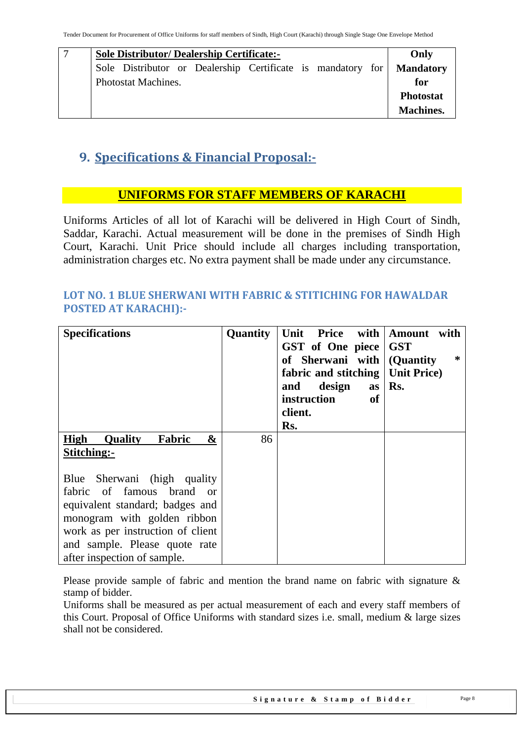| <b>Sole Distributor/ Dealership Certificate:-</b>                     | Only             |  |  |  |  |
|-----------------------------------------------------------------------|------------------|--|--|--|--|
| Sole Distributor or Dealership Certificate is mandatory for Mandatory |                  |  |  |  |  |
| Photostat Machines.                                                   |                  |  |  |  |  |
|                                                                       | <b>Photostat</b> |  |  |  |  |
|                                                                       | <b>Machines.</b> |  |  |  |  |

# <span id="page-7-0"></span>**9. Specifications & Financial Proposal:-**

# **UNIFORMS FOR STAFF MEMBERS OF KARACHI**

Uniforms Articles of all lot of Karachi will be delivered in High Court of Sindh, Saddar, Karachi. Actual measurement will be done in the premises of Sindh High Court, Karachi. Unit Price should include all charges including transportation, administration charges etc. No extra payment shall be made under any circumstance.

#### <span id="page-7-1"></span>**LOT NO. 1 BLUE SHERWANI WITH FABRIC & STITICHING FOR HAWALDAR POSTED AT KARACHI):-**

| <b>Specifications</b>                 | Quantity | Unit Price with Amount with<br>GST of One piece<br>of Sherwani with (Quantity<br>fabric and stitching   Unit Price)<br>design<br>and<br><b>as</b><br>instruction<br>of<br>client.<br>Rs. | <b>GST</b><br>∗<br>Rs. |
|---------------------------------------|----------|------------------------------------------------------------------------------------------------------------------------------------------------------------------------------------------|------------------------|
| High<br><b>Quality</b><br>Fabric<br>& | 86       |                                                                                                                                                                                          |                        |
| Stitching:-                           |          |                                                                                                                                                                                          |                        |
| Blue Sherwani (high quality           |          |                                                                                                                                                                                          |                        |
| fabric of famous brand or             |          |                                                                                                                                                                                          |                        |
| equivalent standard; badges and       |          |                                                                                                                                                                                          |                        |
| monogram with golden ribbon           |          |                                                                                                                                                                                          |                        |
| work as per instruction of client     |          |                                                                                                                                                                                          |                        |
| and sample. Please quote rate         |          |                                                                                                                                                                                          |                        |
| after inspection of sample.           |          |                                                                                                                                                                                          |                        |

Please provide sample of fabric and mention the brand name on fabric with signature & stamp of bidder.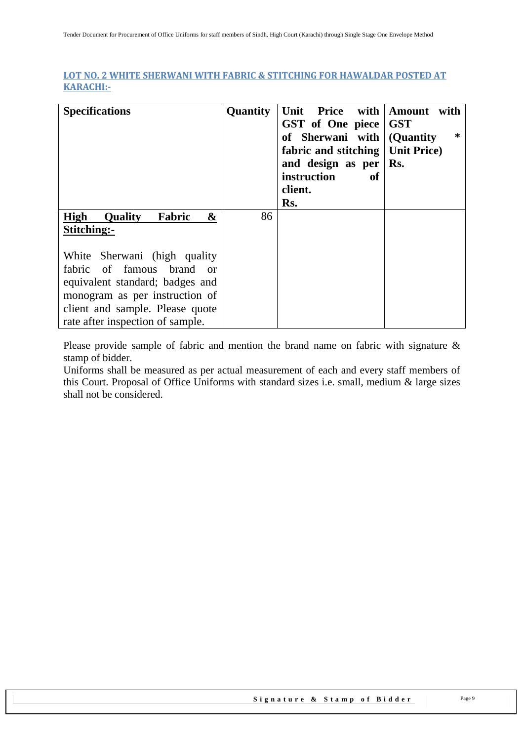#### <span id="page-8-0"></span>**LOT NO. 2 WHITE SHERWANI WITH FABRIC & STITCHING FOR HAWALDAR POSTED AT KARACHI:-**

| <b>Specifications</b>                                                 | Quantity | Price with<br>Unit<br>GST of One piece<br>of Sherwani with<br>fabric and stitching<br>and design as per $\mid$ Rs.<br>instruction<br>оf<br>client.<br>Rs. | with<br>Amount<br><b>GST</b><br>$\ast$<br>(Quantity)<br><b>Unit Price</b> ) |
|-----------------------------------------------------------------------|----------|-----------------------------------------------------------------------------------------------------------------------------------------------------------|-----------------------------------------------------------------------------|
| High<br>&<br>Fabric<br><b>Quality</b><br>Stitching:-                  | 86       |                                                                                                                                                           |                                                                             |
| White Sherwani (high quality<br>fabric of famous<br>brand<br>$\alpha$ |          |                                                                                                                                                           |                                                                             |
| equivalent standard; badges and                                       |          |                                                                                                                                                           |                                                                             |
| monogram as per instruction of                                        |          |                                                                                                                                                           |                                                                             |
| client and sample. Please quote                                       |          |                                                                                                                                                           |                                                                             |
| rate after inspection of sample.                                      |          |                                                                                                                                                           |                                                                             |

Please provide sample of fabric and mention the brand name on fabric with signature & stamp of bidder.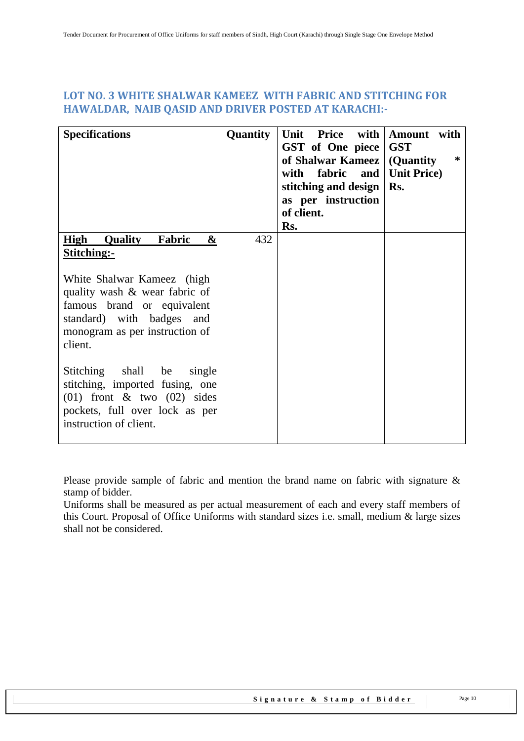#### <span id="page-9-0"></span>**LOT NO. 3 WHITE SHALWAR KAMEEZ WITH FABRIC AND STITCHING FOR HAWALDAR, NAIB QASID AND DRIVER POSTED AT KARACHI:-**

| <b>Specifications</b>                                                                                                                                                                                                              | Quantity | Unit<br>Price with<br>GST of One piece<br>of Shalwar Kameez   (Quantity<br>with fabric and<br>stitching and design<br>as per instruction<br>of client.<br>Rs. | Amount with<br><b>GST</b><br>∗<br><b>Unit Price</b> )<br>Rs. |
|------------------------------------------------------------------------------------------------------------------------------------------------------------------------------------------------------------------------------------|----------|---------------------------------------------------------------------------------------------------------------------------------------------------------------|--------------------------------------------------------------|
| <b>High</b><br><b>Quality</b><br>Fabric<br>&<br>Stitching:-<br>White Shalwar Kameez (high<br>quality wash & wear fabric of<br>famous brand or equivalent<br>standard) with badges and<br>monogram as per instruction of<br>client. | 432      |                                                                                                                                                               |                                                              |
| Stitching shall<br>be<br>single<br>stitching, imported fusing, one<br>$(01)$ front & two $(02)$ sides<br>pockets, full over lock as per<br>instruction of client.                                                                  |          |                                                                                                                                                               |                                                              |

Please provide sample of fabric and mention the brand name on fabric with signature & stamp of bidder.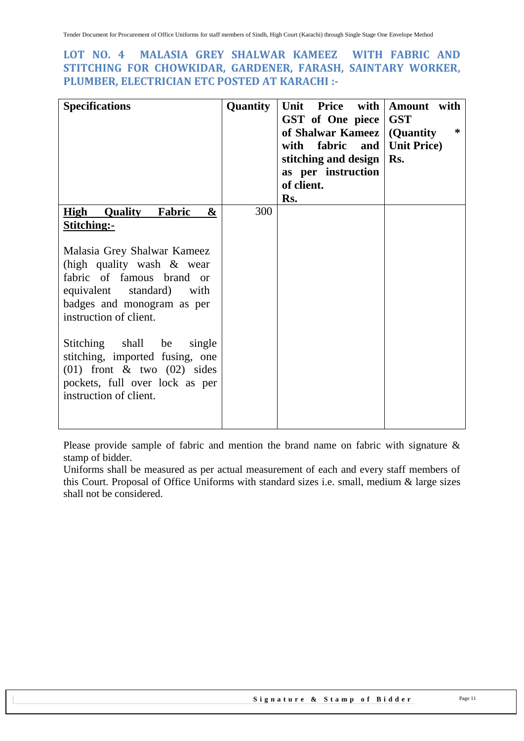#### <span id="page-10-0"></span>**LOT NO. 4 MALASIA GREY SHALWAR KAMEEZ WITH FABRIC AND STITCHING FOR CHOWKIDAR, GARDENER, FARASH, SAINTARY WORKER, PLUMBER, ELECTRICIAN ETC POSTED AT KARACHI :-**

| <b>Specifications</b>                                                                                                                                                         | Quantity | Unit<br>Price with<br>GST of One piece<br>of Shalwar Kameez<br>with<br>fabric<br>and  <br>stitching and design<br>as per instruction<br>of client.<br>Rs. | Amount with<br><b>GST</b><br>∗<br>(Quantity)<br><b>Unit Price</b> )<br>Rs. |
|-------------------------------------------------------------------------------------------------------------------------------------------------------------------------------|----------|-----------------------------------------------------------------------------------------------------------------------------------------------------------|----------------------------------------------------------------------------|
| <b>High Quality</b><br>Fabric<br>&<br>Stitching:-                                                                                                                             | 300      |                                                                                                                                                           |                                                                            |
| Malasia Grey Shalwar Kameez<br>(high quality wash $\&$ wear<br>fabric of famous brand or<br>equivalent standard) with<br>badges and monogram as per<br>instruction of client. |          |                                                                                                                                                           |                                                                            |
| shall<br>Stitching<br>be<br>single<br>stitching, imported fusing, one<br>$(01)$ front & two $(02)$ sides<br>pockets, full over lock as per<br>instruction of client.          |          |                                                                                                                                                           |                                                                            |

Please provide sample of fabric and mention the brand name on fabric with signature & stamp of bidder.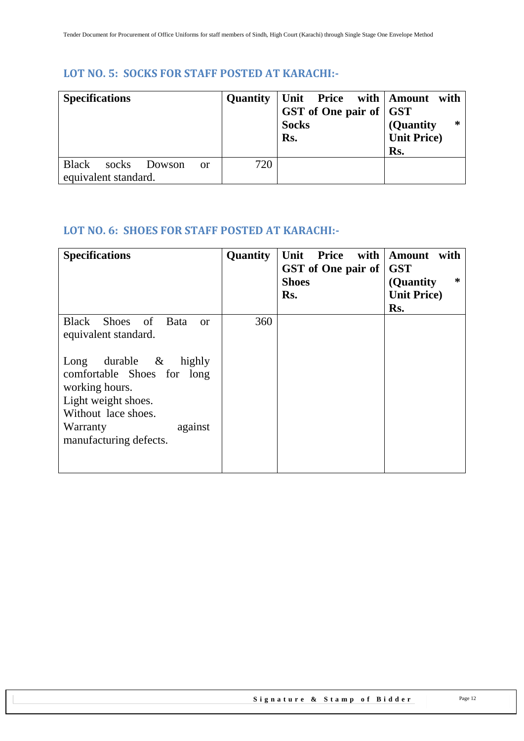## <span id="page-11-0"></span>**LOT NO. 5: SOCKS FOR STAFF POSTED AT KARACHI:-**

| <b>Specifications</b> |                      |              |    | Quantity | Unit Price with Amount with<br>GST of One pair of GST<br><b>Socks</b><br>Rs. | *<br>(Quantity)<br><b>Unit Price</b> )<br>Rs. |
|-----------------------|----------------------|--------------|----|----------|------------------------------------------------------------------------------|-----------------------------------------------|
| <b>Black</b>          |                      | socks Dowson | 0r | 720      |                                                                              |                                               |
|                       | equivalent standard. |              |    |          |                                                                              |                                               |

## <span id="page-11-1"></span>**LOT NO. 6: SHOES FOR STAFF POSTED AT KARACHI:-**

| <b>Specifications</b>                                                                                                                                                                              | Quantity | <b>Price</b><br>with $ $<br>Unit<br>GST of One pair of<br><b>Shoes</b><br>Rs. | <b>Amount</b><br>with<br><b>GST</b><br>∗<br>(Quantity)<br><b>Unit Price</b> )<br>Rs. |
|----------------------------------------------------------------------------------------------------------------------------------------------------------------------------------------------------|----------|-------------------------------------------------------------------------------|--------------------------------------------------------------------------------------|
| <b>Black</b><br>Shoes of Bata<br><b>or</b><br>equivalent standard.<br>durable $\&$<br>Long<br>highly<br>comfortable Shoes for long<br>working hours.<br>Light weight shoes.<br>Without lace shoes. | 360      |                                                                               |                                                                                      |
| Warranty<br>against<br>manufacturing defects.                                                                                                                                                      |          |                                                                               |                                                                                      |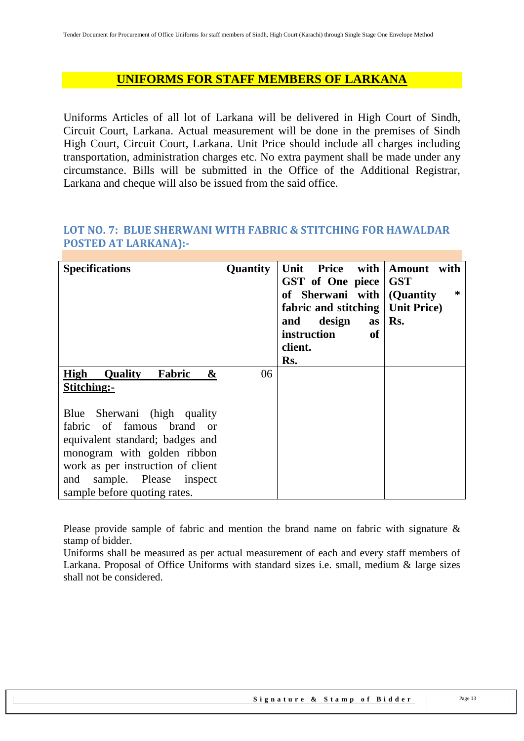### **UNIFORMS FOR STAFF MEMBERS OF LARKANA**

Uniforms Articles of all lot of Larkana will be delivered in High Court of Sindh, Circuit Court, Larkana. Actual measurement will be done in the premises of Sindh High Court, Circuit Court, Larkana. Unit Price should include all charges including transportation, administration charges etc. No extra payment shall be made under any circumstance. Bills will be submitted in the Office of the Additional Registrar, Larkana and cheque will also be issued from the said office.

#### <span id="page-12-0"></span>**LOT NO. 7: BLUE SHERWANI WITH FABRIC & STITCHING FOR HAWALDAR POSTED AT LARKANA):-**

| <b>Specifications</b>                                                | Quantity | with<br>Unit<br>Price<br>GST of One piece<br>of Sherwani with (Quantity<br>fabric and stitching   Unit Price)<br>design<br>and<br><b>as</b><br>instruction<br><b>of</b><br>client.<br>Rs. | Amount<br>with<br><b>GST</b><br>∗<br>Rs. |
|----------------------------------------------------------------------|----------|-------------------------------------------------------------------------------------------------------------------------------------------------------------------------------------------|------------------------------------------|
| High<br><b>Quality</b><br>Fabric<br>&<br>Stitching:-                 | 06       |                                                                                                                                                                                           |                                          |
| Sherwani (high quality<br>Blue<br>fabric of famous brand<br>$\alpha$ |          |                                                                                                                                                                                           |                                          |
| equivalent standard; badges and<br>monogram with golden ribbon       |          |                                                                                                                                                                                           |                                          |
| work as per instruction of client                                    |          |                                                                                                                                                                                           |                                          |
| sample. Please<br>and<br>inspect<br>sample before quoting rates.     |          |                                                                                                                                                                                           |                                          |

Please provide sample of fabric and mention the brand name on fabric with signature & stamp of bidder.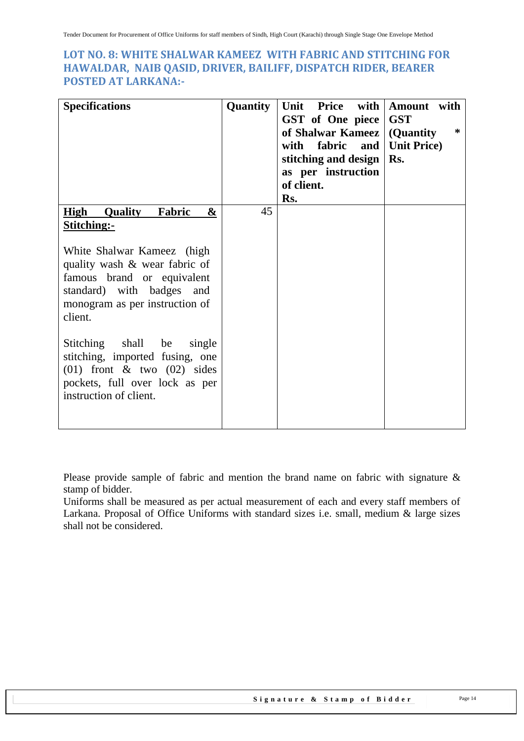#### <span id="page-13-0"></span>**LOT NO. 8: WHITE SHALWAR KAMEEZ WITH FABRIC AND STITCHING FOR HAWALDAR, NAIB QASID, DRIVER, BAILIFF, DISPATCH RIDER, BEARER POSTED AT LARKANA:-**

| <b>Specifications</b>                                                                                                                                                | Quantity | Unit<br>Price<br>with<br>GST of One piece<br>of Shalwar Kameez<br>with<br>fabric<br>and<br>stitching and design<br>as per instruction<br>of client.<br>Rs. | Amount with<br><b>GST</b><br>∗<br>(Quantity<br><b>Unit Price</b> )<br>Rs. |
|----------------------------------------------------------------------------------------------------------------------------------------------------------------------|----------|------------------------------------------------------------------------------------------------------------------------------------------------------------|---------------------------------------------------------------------------|
| <b>High Quality</b><br>Fabric<br>&<br><b>Stitching:-</b>                                                                                                             | 45       |                                                                                                                                                            |                                                                           |
| White Shalwar Kameez (high<br>quality wash & wear fabric of<br>famous brand or equivalent<br>standard) with badges and<br>monogram as per instruction of<br>client.  |          |                                                                                                                                                            |                                                                           |
| shall<br>Stitching<br>be<br>single<br>stitching, imported fusing, one<br>$(01)$ front & two $(02)$ sides<br>pockets, full over lock as per<br>instruction of client. |          |                                                                                                                                                            |                                                                           |

Please provide sample of fabric and mention the brand name on fabric with signature & stamp of bidder.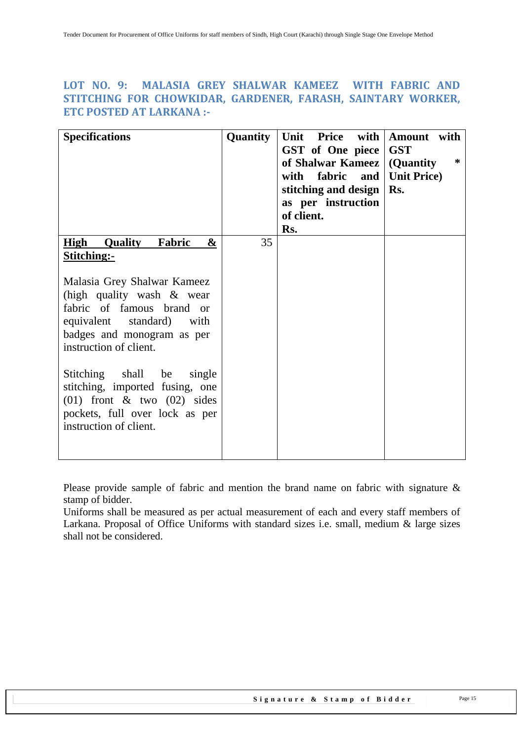#### <span id="page-14-0"></span>**LOT NO. 9: MALASIA GREY SHALWAR KAMEEZ WITH FABRIC AND STITCHING FOR CHOWKIDAR, GARDENER, FARASH, SAINTARY WORKER, ETC POSTED AT LARKANA :-**

| <b>Specifications</b>                                                                                                                                                                                                                                                                                                                                                                                                | Quantity | Unit Price with<br>GST of One piece<br>of Shalwar Kameez<br>with fabric and<br>stitching and design<br>as per instruction<br>of client.<br>Rs. | Amount with<br><b>GST</b><br>∗<br>(Quantity)<br><b>Unit Price</b> )<br>Rs. |
|----------------------------------------------------------------------------------------------------------------------------------------------------------------------------------------------------------------------------------------------------------------------------------------------------------------------------------------------------------------------------------------------------------------------|----------|------------------------------------------------------------------------------------------------------------------------------------------------|----------------------------------------------------------------------------|
| <b>High Quality</b><br>Fabric<br>$\boldsymbol{\&}$<br>Stitching:-<br>Malasia Grey Shalwar Kameez<br>(high quality wash $\&$ wear<br>fabric of famous brand or<br>equivalent standard) with<br>badges and monogram as per<br>instruction of client.<br>Stitching shall be<br>single<br>stitching, imported fusing, one<br>$(01)$ front & two $(02)$ sides<br>pockets, full over lock as per<br>instruction of client. | 35       |                                                                                                                                                |                                                                            |

Please provide sample of fabric and mention the brand name on fabric with signature & stamp of bidder.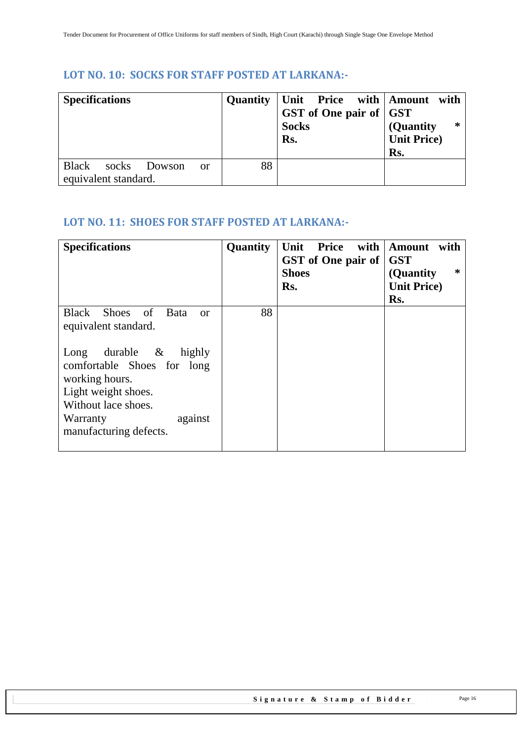# <span id="page-15-0"></span>**LOT NO. 10: SOCKS FOR STAFF POSTED AT LARKANA:-**

| <b>Specifications</b> |                      |        |    | <b>Quantity</b> | Unit Price with   Amount with<br>GST of One pair of GST<br><b>Socks</b><br>Rs. | *<br>(Quantity<br><b>Unit Price</b> )<br>Rs. |
|-----------------------|----------------------|--------|----|-----------------|--------------------------------------------------------------------------------|----------------------------------------------|
| <b>Black</b>          | socks                | Dowson | or | 88              |                                                                                |                                              |
|                       | equivalent standard. |        |    |                 |                                                                                |                                              |

# <span id="page-15-1"></span>**LOT NO. 11: SHOES FOR STAFF POSTED AT LARKANA:-**

| <b>Specifications</b>                                                                                                                                                                                                                    | Quantity | with<br>Unit<br>Price<br>GST of One pair of<br><b>Shoes</b><br>Rs. | Amount with<br><b>GST</b><br>$\ast$<br>(Quantity)<br><b>Unit Price</b> )<br>Rs. |
|------------------------------------------------------------------------------------------------------------------------------------------------------------------------------------------------------------------------------------------|----------|--------------------------------------------------------------------|---------------------------------------------------------------------------------|
| Black Shoes of Bata<br>$\alpha$<br>equivalent standard.<br>durable $\&$<br>Long<br>highly<br>comfortable Shoes for long<br>working hours.<br>Light weight shoes.<br>Without lace shoes.<br>against<br>Warranty<br>manufacturing defects. | 88       |                                                                    |                                                                                 |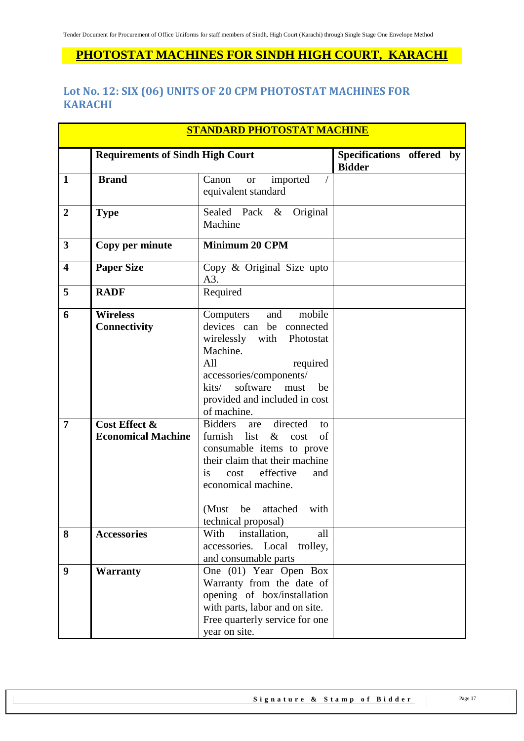# **PHOTOSTAT MACHINES FOR SINDH HIGH COURT, KARACHI**

## <span id="page-16-0"></span>**Lot No. 12: SIX (06) UNITS OF 20 CPM PHOTOSTAT MACHINES FOR KARACHI**

| <b>STANDARD PHOTOSTAT MACHINE</b> |                                                                                      |                                                                                                                                                                                                                                                                                                                                                                                                                                 |                                            |  |  |
|-----------------------------------|--------------------------------------------------------------------------------------|---------------------------------------------------------------------------------------------------------------------------------------------------------------------------------------------------------------------------------------------------------------------------------------------------------------------------------------------------------------------------------------------------------------------------------|--------------------------------------------|--|--|
|                                   | <b>Requirements of Sindh High Court</b>                                              |                                                                                                                                                                                                                                                                                                                                                                                                                                 | Specifications offered by<br><b>Bidder</b> |  |  |
| 1                                 | <b>Brand</b>                                                                         | Canon<br>imported<br><b>or</b><br>equivalent standard                                                                                                                                                                                                                                                                                                                                                                           |                                            |  |  |
| $\overline{2}$                    | <b>Type</b>                                                                          | Original<br>Sealed Pack &<br>Machine                                                                                                                                                                                                                                                                                                                                                                                            |                                            |  |  |
| $\overline{\mathbf{3}}$           | Copy per minute                                                                      | <b>Minimum 20 CPM</b>                                                                                                                                                                                                                                                                                                                                                                                                           |                                            |  |  |
| $\overline{\mathbf{4}}$           | <b>Paper Size</b>                                                                    | Copy & Original Size upto<br>A3.                                                                                                                                                                                                                                                                                                                                                                                                |                                            |  |  |
| 5                                 | <b>RADF</b>                                                                          | Required                                                                                                                                                                                                                                                                                                                                                                                                                        |                                            |  |  |
| 6<br>$\overline{7}$               | <b>Wireless</b><br><b>Connectivity</b><br>Cost Effect &<br><b>Economical Machine</b> | mobile<br>Computers<br>and<br>devices can be connected<br>wirelessly with<br>Photostat<br>Machine.<br>All<br>required<br>accessories/components/<br>software<br>kits/<br>be<br>must<br>provided and included in cost<br>of machine.<br>directed<br><b>Bidders</b><br>are<br>to<br>furnish<br>$\&$<br>of<br>list<br>cost<br>consumable items to prove<br>their claim that their machine<br>effective<br>cost<br><i>is</i><br>and |                                            |  |  |
|                                   |                                                                                      | economical machine.<br>(Must<br>with<br>be<br>attached<br>technical proposal)                                                                                                                                                                                                                                                                                                                                                   |                                            |  |  |
| 8                                 | <b>Accessories</b>                                                                   | With<br>installation,<br>all<br>accessories. Local<br>trolley,<br>and consumable parts                                                                                                                                                                                                                                                                                                                                          |                                            |  |  |
| 9                                 | <b>Warranty</b>                                                                      | One (01) Year Open Box<br>Warranty from the date of<br>opening of box/installation<br>with parts, labor and on site.<br>Free quarterly service for one<br>year on site.                                                                                                                                                                                                                                                         |                                            |  |  |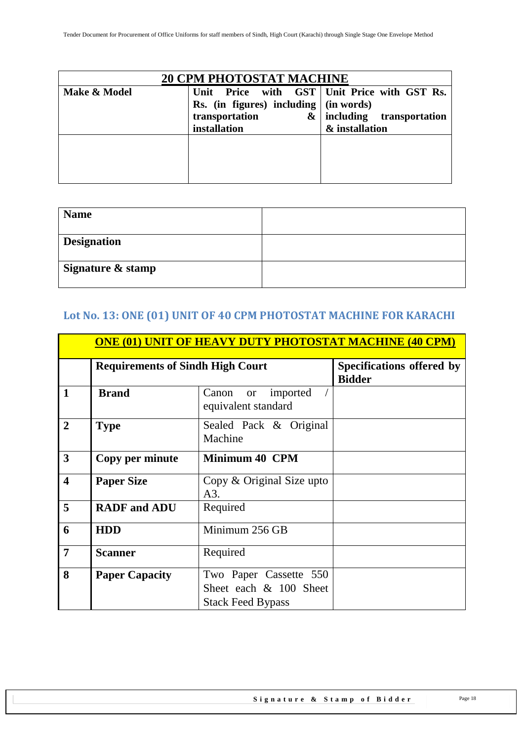| <b>20 CPM PHOTOSTAT MACHINE</b> |                                                                                          |                                                                                        |  |  |  |  |
|---------------------------------|------------------------------------------------------------------------------------------|----------------------------------------------------------------------------------------|--|--|--|--|
| Make & Model                    | Unit<br>Rs. (in figures) including $ $ (in words)<br>transportation<br>&<br>installation | Price with GST   Unit Price with GST Rs.<br>including transportation<br>& installation |  |  |  |  |
|                                 |                                                                                          |                                                                                        |  |  |  |  |

| <b>Name</b>        |  |
|--------------------|--|
| <b>Designation</b> |  |
| Signature & stamp  |  |

# <span id="page-17-0"></span>**Lot No. 13: ONE (01) UNIT OF 40 CPM PHOTOSTAT MACHINE FOR KARACHI**

|                         | <b>ONE (01) UNIT OF HEAVY DUTY PHOTOSTAT MACHINE (40 CPM)</b> |                                                                              |  |  |  |  |
|-------------------------|---------------------------------------------------------------|------------------------------------------------------------------------------|--|--|--|--|
|                         | <b>Requirements of Sindh High Court</b>                       | Specifications offered by<br><b>Bidder</b>                                   |  |  |  |  |
| 1                       | <b>Brand</b>                                                  | imported<br>Canon<br><b>or</b><br>equivalent standard                        |  |  |  |  |
| $\overline{2}$          | <b>Type</b>                                                   | Sealed Pack & Original<br>Machine                                            |  |  |  |  |
| $\mathbf{3}$            | Copy per minute                                               | <b>Minimum 40 CPM</b>                                                        |  |  |  |  |
| $\overline{\mathbf{4}}$ | <b>Paper Size</b>                                             | Copy $&$ Original Size upto<br>A3.                                           |  |  |  |  |
| 5                       | <b>RADF</b> and <b>ADU</b>                                    | Required                                                                     |  |  |  |  |
| 6                       | <b>HDD</b>                                                    | Minimum 256 GB                                                               |  |  |  |  |
| 7                       | <b>Scanner</b>                                                | Required                                                                     |  |  |  |  |
| 8                       | <b>Paper Capacity</b>                                         | Two Paper Cassette 550<br>Sheet each & 100 Sheet<br><b>Stack Feed Bypass</b> |  |  |  |  |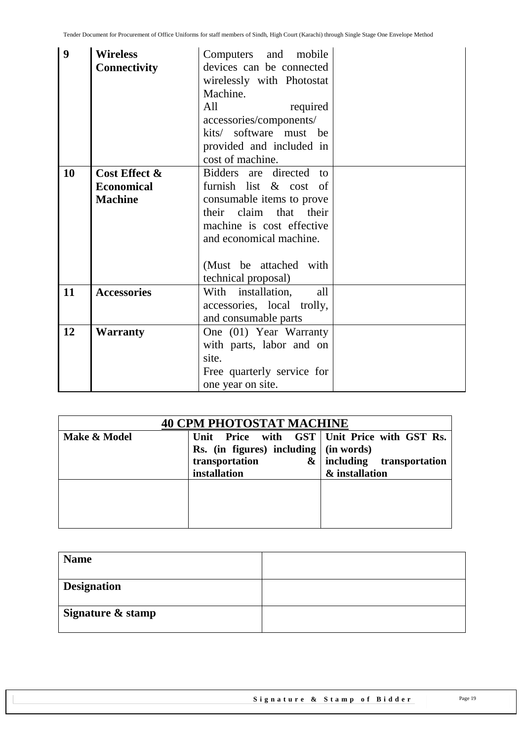| 9  | <b>Wireless</b><br><b>Connectivity</b>               | Computers and mobile<br>devices can be connected<br>wirelessly with Photostat<br>Machine.<br>required<br>All<br>accessories/components/<br>kits/ software must be                             |  |
|----|------------------------------------------------------|-----------------------------------------------------------------------------------------------------------------------------------------------------------------------------------------------|--|
|    |                                                      | provided and included in<br>cost of machine.                                                                                                                                                  |  |
| 10 | Cost Effect &<br><b>Economical</b><br><b>Machine</b> | Bidders are directed to<br>furnish list & cost of<br>consumable items to prove<br>claim that their<br>their<br>machine is cost effective<br>and economical machine.<br>(Must be attached with |  |
|    |                                                      | technical proposal)                                                                                                                                                                           |  |
| 11 | <b>Accessories</b>                                   | With installation,<br>all<br>accessories, local trolly,<br>and consumable parts                                                                                                               |  |
| 12 | <b>Warranty</b>                                      | One (01) Year Warranty<br>with parts, labor and on<br>site.<br>Free quarterly service for<br>one year on site.                                                                                |  |

| <b>40 CPM PHOTOSTAT MACHINE</b> |                                                                                                              |                                                                                        |  |  |
|---------------------------------|--------------------------------------------------------------------------------------------------------------|----------------------------------------------------------------------------------------|--|--|
| Make & Model                    | Unit<br>Rs. (in figures) including $ $ (in words)<br>transportation<br>$\boldsymbol{\alpha}$<br>installation | Price with GST   Unit Price with GST Rs.<br>including transportation<br>& installation |  |  |
|                                 |                                                                                                              |                                                                                        |  |  |

| <b>Name</b>        |  |
|--------------------|--|
| <b>Designation</b> |  |
| Signature & stamp  |  |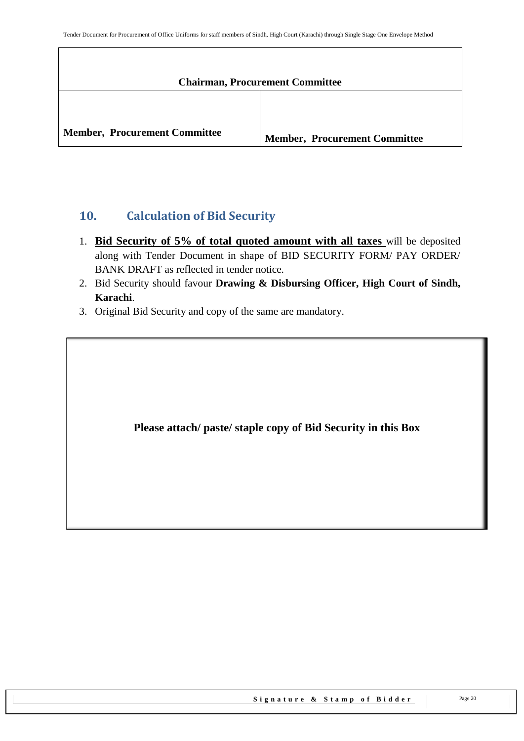| <b>Chairman, Procurement Committee</b> |                                      |  |
|----------------------------------------|--------------------------------------|--|
|                                        |                                      |  |
| <b>Member, Procurement Committee</b>   | <b>Member, Procurement Committee</b> |  |

## <span id="page-19-0"></span>**10. Calculation of Bid Security**

- 1. **Bid Security of 5% of total quoted amount with all taxes** will be deposited along with Tender Document in shape of BID SECURITY FORM/ PAY ORDER/ BANK DRAFT as reflected in tender notice.
- 2. Bid Security should favour **Drawing & Disbursing Officer, High Court of Sindh, Karachi**.
- 3. Original Bid Security and copy of the same are mandatory.

**Please attach/ paste/ staple copy of Bid Security in this Box**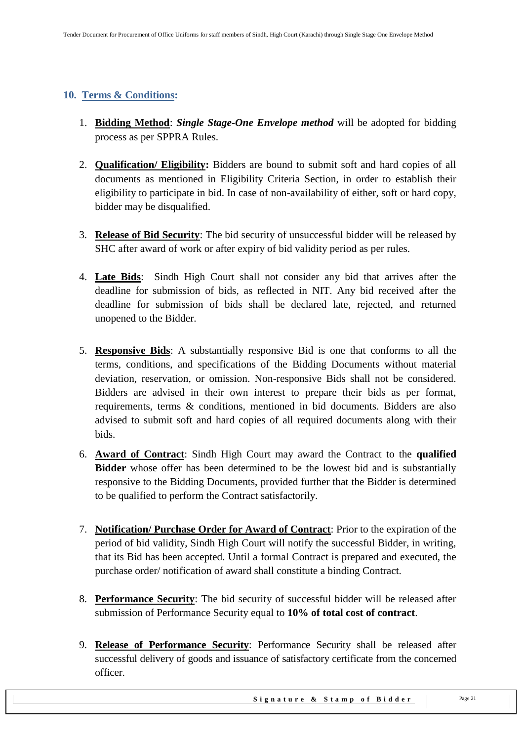#### <span id="page-20-0"></span>**10. Terms & Conditions:**

- 1. **Bidding Method**: *Single Stage-One Envelope method* will be adopted for bidding process as per SPPRA Rules.
- 2. **Qualification/ Eligibility:** Bidders are bound to submit soft and hard copies of all documents as mentioned in Eligibility Criteria Section, in order to establish their eligibility to participate in bid. In case of non-availability of either, soft or hard copy, bidder may be disqualified.
- 3. **Release of Bid Security**: The bid security of unsuccessful bidder will be released by SHC after award of work or after expiry of bid validity period as per rules.
- 4. **Late Bids**: Sindh High Court shall not consider any bid that arrives after the deadline for submission of bids, as reflected in NIT. Any bid received after the deadline for submission of bids shall be declared late, rejected, and returned unopened to the Bidder.
- 5. **Responsive Bids**: A substantially responsive Bid is one that conforms to all the terms, conditions, and specifications of the Bidding Documents without material deviation, reservation, or omission. Non-responsive Bids shall not be considered. Bidders are advised in their own interest to prepare their bids as per format, requirements, terms & conditions, mentioned in bid documents. Bidders are also advised to submit soft and hard copies of all required documents along with their bids.
- 6. **Award of Contract**: Sindh High Court may award the Contract to the **qualified Bidder** whose offer has been determined to be the lowest bid and is substantially responsive to the Bidding Documents, provided further that the Bidder is determined to be qualified to perform the Contract satisfactorily.
- 7. **Notification/ Purchase Order for Award of Contract**: Prior to the expiration of the period of bid validity, Sindh High Court will notify the successful Bidder, in writing, that its Bid has been accepted. Until a formal Contract is prepared and executed, the purchase order/ notification of award shall constitute a binding Contract.
- 8. **Performance Security**: The bid security of successful bidder will be released after submission of Performance Security equal to **10% of total cost of contract**.
- 9. **Release of Performance Security**: Performance Security shall be released after successful delivery of goods and issuance of satisfactory certificate from the concerned officer.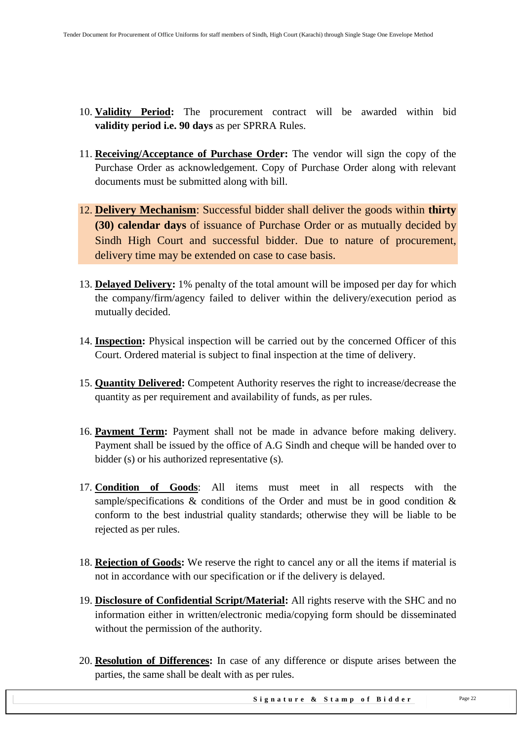- 10. **Validity Period:** The procurement contract will be awarded within bid **validity period i.e. 90 days** as per SPRRA Rules.
- 11. **Receiving/Acceptance of Purchase Order:** The vendor will sign the copy of the Purchase Order as acknowledgement. Copy of Purchase Order along with relevant documents must be submitted along with bill.
- 12. **Delivery Mechanism**: Successful bidder shall deliver the goods within **thirty (30) calendar days** of issuance of Purchase Order or as mutually decided by Sindh High Court and successful bidder. Due to nature of procurement, delivery time may be extended on case to case basis.
- 13. **Delayed Delivery:** 1% penalty of the total amount will be imposed per day for which the company/firm/agency failed to deliver within the delivery/execution period as mutually decided.
- 14. **Inspection:** Physical inspection will be carried out by the concerned Officer of this Court. Ordered material is subject to final inspection at the time of delivery.
- 15. **Quantity Delivered:** Competent Authority reserves the right to increase/decrease the quantity as per requirement and availability of funds, as per rules.
- 16. **Payment Term:** Payment shall not be made in advance before making delivery. Payment shall be issued by the office of A.G Sindh and cheque will be handed over to bidder (s) or his authorized representative (s).
- 17. **Condition of Goods**: All items must meet in all respects with the sample/specifications  $\&$  conditions of the Order and must be in good condition  $\&$ conform to the best industrial quality standards; otherwise they will be liable to be rejected as per rules.
- 18. **Rejection of Goods:** We reserve the right to cancel any or all the items if material is not in accordance with our specification or if the delivery is delayed.
- 19. **Disclosure of Confidential Script/Material:** All rights reserve with the SHC and no information either in written/electronic media/copying form should be disseminated without the permission of the authority.
- 20. **Resolution of Differences:** In case of any difference or dispute arises between the parties, the same shall be dealt with as per rules.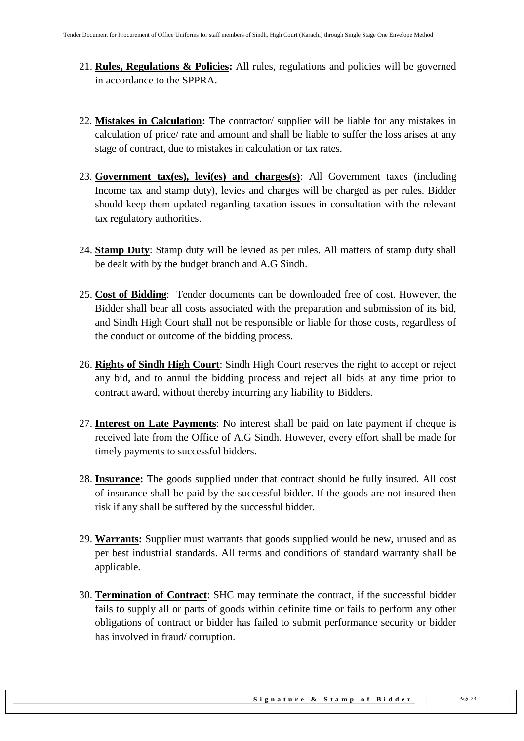- 21. **Rules, Regulations & Policies:** All rules, regulations and policies will be governed in accordance to the SPPRA.
- 22. **Mistakes in Calculation:** The contractor/ supplier will be liable for any mistakes in calculation of price/ rate and amount and shall be liable to suffer the loss arises at any stage of contract, due to mistakes in calculation or tax rates.
- 23. **Government tax(es), levi(es) and charges(s)**: All Government taxes (including Income tax and stamp duty), levies and charges will be charged as per rules. Bidder should keep them updated regarding taxation issues in consultation with the relevant tax regulatory authorities.
- 24. **Stamp Duty**: Stamp duty will be levied as per rules. All matters of stamp duty shall be dealt with by the budget branch and A.G Sindh.
- 25. **Cost of Bidding**: Tender documents can be downloaded free of cost. However, the Bidder shall bear all costs associated with the preparation and submission of its bid, and Sindh High Court shall not be responsible or liable for those costs, regardless of the conduct or outcome of the bidding process.
- 26. **Rights of Sindh High Court**: Sindh High Court reserves the right to accept or reject any bid, and to annul the bidding process and reject all bids at any time prior to contract award, without thereby incurring any liability to Bidders.
- 27. **Interest on Late Payments**: No interest shall be paid on late payment if cheque is received late from the Office of A.G Sindh. However, every effort shall be made for timely payments to successful bidders.
- 28. **Insurance:** The goods supplied under that contract should be fully insured. All cost of insurance shall be paid by the successful bidder. If the goods are not insured then risk if any shall be suffered by the successful bidder.
- 29. **Warrants:** Supplier must warrants that goods supplied would be new, unused and as per best industrial standards. All terms and conditions of standard warranty shall be applicable.
- 30. **Termination of Contract**: SHC may terminate the contract, if the successful bidder fails to supply all or parts of goods within definite time or fails to perform any other obligations of contract or bidder has failed to submit performance security or bidder has involved in fraud/ corruption.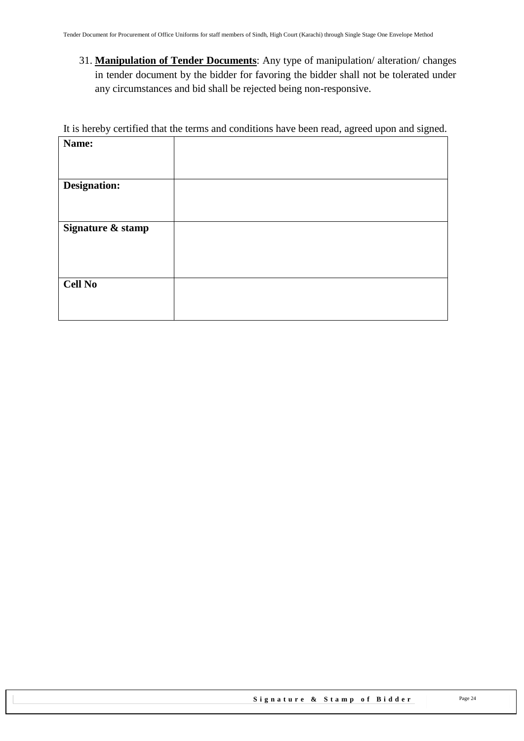31. **Manipulation of Tender Documents**: Any type of manipulation/ alteration/ changes in tender document by the bidder for favoring the bidder shall not be tolerated under any circumstances and bid shall be rejected being non-responsive.

It is hereby certified that the terms and conditions have been read, agreed upon and signed.

| Name:               |  |
|---------------------|--|
|                     |  |
|                     |  |
| <b>Designation:</b> |  |
|                     |  |
|                     |  |
| Signature & stamp   |  |
|                     |  |
|                     |  |
|                     |  |
|                     |  |
| <b>Cell No</b>      |  |
|                     |  |
|                     |  |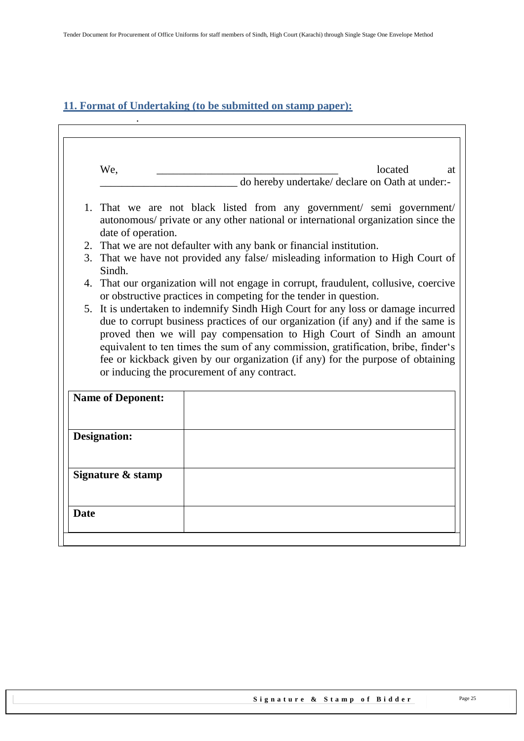# <span id="page-24-0"></span>**11. Format of Undertaking (to be submitted on stamp paper):**

.

| We,                                                                                                                                                                              | located<br>at<br>do hereby undertake/ declare on Oath at under:-                                                                                                                                                                                                                                                                                                                   |  |
|----------------------------------------------------------------------------------------------------------------------------------------------------------------------------------|------------------------------------------------------------------------------------------------------------------------------------------------------------------------------------------------------------------------------------------------------------------------------------------------------------------------------------------------------------------------------------|--|
| 1. That we are not black listed from any government/ semi government/<br>autonomous/ private or any other national or international organization since the<br>date of operation. |                                                                                                                                                                                                                                                                                                                                                                                    |  |
|                                                                                                                                                                                  | 2. That we are not defaulter with any bank or financial institution.                                                                                                                                                                                                                                                                                                               |  |
| 3. That we have not provided any false/ misleading information to High Court of<br>Sindh.                                                                                        |                                                                                                                                                                                                                                                                                                                                                                                    |  |
| 4. That our organization will not engage in corrupt, fraudulent, collusive, coercive<br>or obstructive practices in competing for the tender in question.                        |                                                                                                                                                                                                                                                                                                                                                                                    |  |
|                                                                                                                                                                                  | 5. It is undertaken to indemnify Sindh High Court for any loss or damage incurred                                                                                                                                                                                                                                                                                                  |  |
|                                                                                                                                                                                  | due to corrupt business practices of our organization (if any) and if the same is<br>proved then we will pay compensation to High Court of Sindh an amount<br>equivalent to ten times the sum of any commission, gratification, bribe, finder's<br>fee or kickback given by our organization (if any) for the purpose of obtaining<br>or inducing the procurement of any contract. |  |
| <b>Name of Deponent:</b>                                                                                                                                                         |                                                                                                                                                                                                                                                                                                                                                                                    |  |
| <b>Designation:</b>                                                                                                                                                              |                                                                                                                                                                                                                                                                                                                                                                                    |  |
| Signature & stamp                                                                                                                                                                |                                                                                                                                                                                                                                                                                                                                                                                    |  |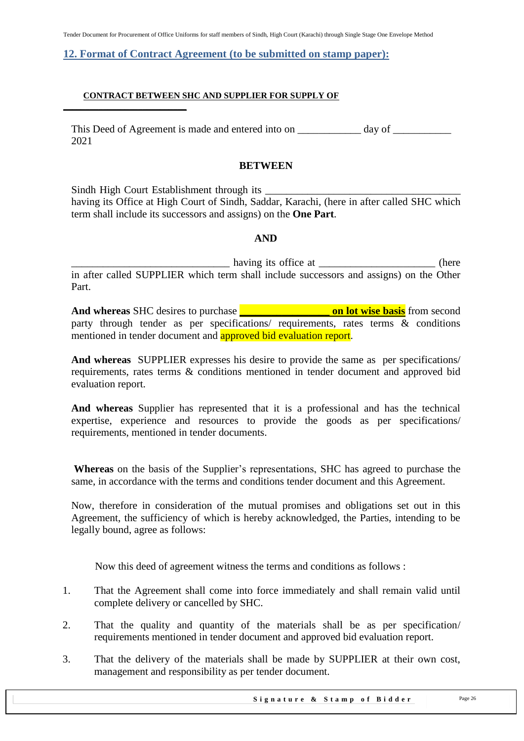Tender Document for Procurement of Office Uniforms for staff members of Sindh, High Court (Karachi) through Single Stage One Envelope Method

#### <span id="page-25-0"></span>**12. Format of Contract Agreement (to be submitted on stamp paper):**

#### **CONTRACT BETWEEN SHC AND SUPPLIER FOR SUPPLY OF**

**\_\_\_\_\_\_\_\_\_\_\_\_\_\_\_\_\_\_\_\_\_\_\_\_\_\_\_\_**

This Deed of Agreement is made and entered into on \_\_\_\_\_\_\_\_\_\_\_\_\_\_ day of \_\_\_\_\_\_\_ 2021

#### **BETWEEN**

Sindh High Court Establishment through its having its Office at High Court of Sindh, Saddar, Karachi, (here in after called SHC which term shall include its successors and assigns) on the **One Part**.

#### **AND**

having its office at  $\qquad \qquad$  (here in after called SUPPLIER which term shall include successors and assigns) on the Other Part.

**And whereas** SHC desires to purchase **\_\_\_\_\_\_\_\_\_\_\_\_\_\_\_\_\_ on lot wise basis** from second party through tender as per specifications/ requirements, rates terms & conditions mentioned in tender document and approved bid evaluation report.

**And whereas** SUPPLIER expresses his desire to provide the same as per specifications/ requirements, rates terms & conditions mentioned in tender document and approved bid evaluation report.

**And whereas** Supplier has represented that it is a professional and has the technical expertise, experience and resources to provide the goods as per specifications/ requirements, mentioned in tender documents.

**Whereas** on the basis of the Supplier's representations, SHC has agreed to purchase the same, in accordance with the terms and conditions tender document and this Agreement.

Now, therefore in consideration of the mutual promises and obligations set out in this Agreement, the sufficiency of which is hereby acknowledged, the Parties, intending to be legally bound, agree as follows:

Now this deed of agreement witness the terms and conditions as follows :

- 1. That the Agreement shall come into force immediately and shall remain valid until complete delivery or cancelled by SHC.
- 2. That the quality and quantity of the materials shall be as per specification/ requirements mentioned in tender document and approved bid evaluation report.
- 3. That the delivery of the materials shall be made by SUPPLIER at their own cost, management and responsibility as per tender document.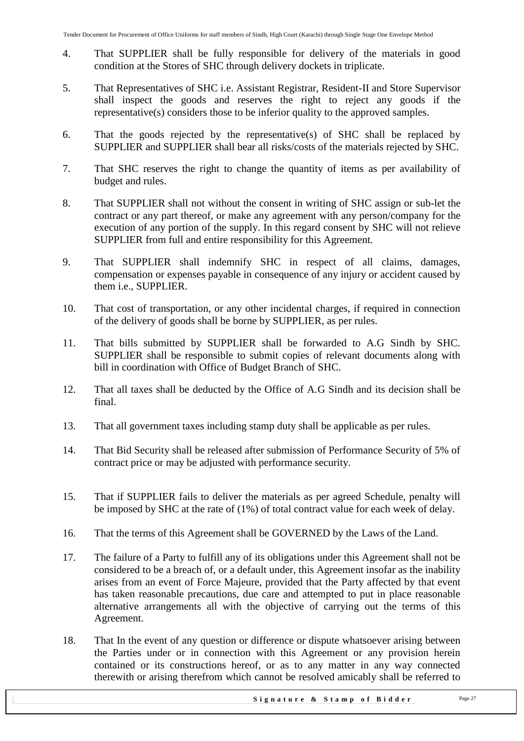- 4. That SUPPLIER shall be fully responsible for delivery of the materials in good condition at the Stores of SHC through delivery dockets in triplicate.
- 5. That Representatives of SHC i.e. Assistant Registrar, Resident-II and Store Supervisor shall inspect the goods and reserves the right to reject any goods if the representative(s) considers those to be inferior quality to the approved samples.
- 6. That the goods rejected by the representative(s) of SHC shall be replaced by SUPPLIER and SUPPLIER shall bear all risks/costs of the materials rejected by SHC.
- 7. That SHC reserves the right to change the quantity of items as per availability of budget and rules.
- 8. That SUPPLIER shall not without the consent in writing of SHC assign or sub-let the contract or any part thereof, or make any agreement with any person/company for the execution of any portion of the supply. In this regard consent by SHC will not relieve SUPPLIER from full and entire responsibility for this Agreement.
- 9. That SUPPLIER shall indemnify SHC in respect of all claims, damages, compensation or expenses payable in consequence of any injury or accident caused by them i.e., SUPPLIER.
- 10. That cost of transportation, or any other incidental charges, if required in connection of the delivery of goods shall be borne by SUPPLIER, as per rules.
- 11. That bills submitted by SUPPLIER shall be forwarded to A.G Sindh by SHC. SUPPLIER shall be responsible to submit copies of relevant documents along with bill in coordination with Office of Budget Branch of SHC.
- 12. That all taxes shall be deducted by the Office of A.G Sindh and its decision shall be final.
- 13. That all government taxes including stamp duty shall be applicable as per rules.
- 14. That Bid Security shall be released after submission of Performance Security of 5% of contract price or may be adjusted with performance security.
- 15. That if SUPPLIER fails to deliver the materials as per agreed Schedule, penalty will be imposed by SHC at the rate of (1%) of total contract value for each week of delay.
- 16. That the terms of this Agreement shall be GOVERNED by the Laws of the Land.
- 17. The failure of a Party to fulfill any of its obligations under this Agreement shall not be considered to be a breach of, or a default under, this Agreement insofar as the inability arises from an event of Force Majeure, provided that the Party affected by that event has taken reasonable precautions, due care and attempted to put in place reasonable alternative arrangements all with the objective of carrying out the terms of this Agreement.
- 18. That In the event of any question or difference or dispute whatsoever arising between the Parties under or in connection with this Agreement or any provision herein contained or its constructions hereof, or as to any matter in any way connected therewith or arising therefrom which cannot be resolved amicably shall be referred to